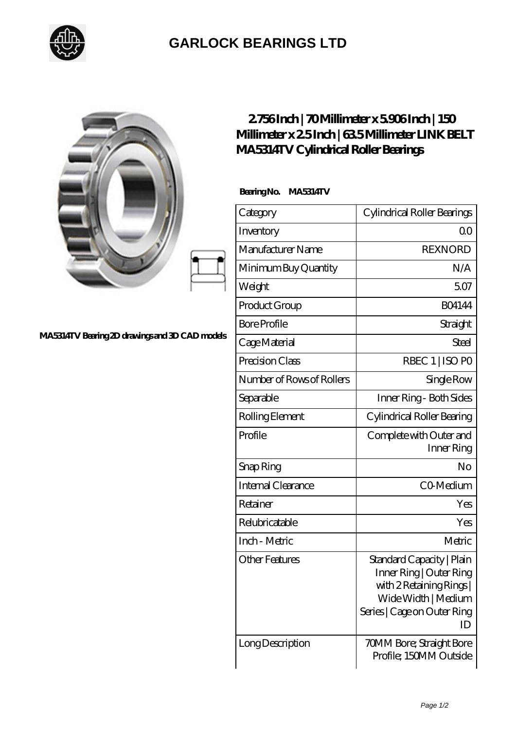

## **[GARLOCK BEARINGS LTD](https://m.letterstopriests.com)**

|                                                | 2756Inch   70Millimeter x 5906Inch   150<br>MA5314TV Cylindrical Roller Bearings | Millimeter x 25Inch   635 Millimeter LINK BELT                                                                                             |
|------------------------------------------------|----------------------------------------------------------------------------------|--------------------------------------------------------------------------------------------------------------------------------------------|
|                                                | BearingNo.<br><b>MA5314TV</b>                                                    |                                                                                                                                            |
|                                                | Category                                                                         | Cylindrical Roller Bearings                                                                                                                |
|                                                | Inventory                                                                        | 0 <sup>0</sup>                                                                                                                             |
|                                                | Manufacturer Name                                                                | <b>REXNORD</b>                                                                                                                             |
|                                                | Minimum Buy Quantity                                                             | N/A                                                                                                                                        |
|                                                | Weight                                                                           | 5.07                                                                                                                                       |
|                                                | Product Group                                                                    | <b>BO4144</b>                                                                                                                              |
|                                                | <b>Bore Profile</b>                                                              | Straight                                                                                                                                   |
| MA5314TV Bearing 2D drawings and 3D CAD models | Cage Material                                                                    | <b>Steel</b>                                                                                                                               |
|                                                | Precision Class                                                                  | RBEC 1   ISO PO                                                                                                                            |
|                                                | Number of Rows of Rollers                                                        | Single Row                                                                                                                                 |
|                                                | Separable                                                                        | Inner Ring - Both Sides                                                                                                                    |
|                                                | Rolling Element                                                                  | Cylindrical Roller Bearing                                                                                                                 |
|                                                | Profile                                                                          | Complete with Outer and<br>Inner Ring                                                                                                      |
|                                                | Snap Ring                                                                        | No                                                                                                                                         |
|                                                | Internal Clearance                                                               | CO Medium                                                                                                                                  |
|                                                | Retainer                                                                         | Yes                                                                                                                                        |
|                                                | Relubricatable                                                                   | Yes                                                                                                                                        |
|                                                | Inch - Metric                                                                    | Metric                                                                                                                                     |
|                                                | <b>Other Features</b>                                                            | Standard Capacity   Plain<br>Inner Ring   Outer Ring<br>with 2 Retaining Rings<br>Wide Width   Medium<br>Series   Cage on Outer Ring<br>ID |
|                                                | Long Description                                                                 | 70MM Bore; Straight Bore<br>Profile; 150MM Outside                                                                                         |